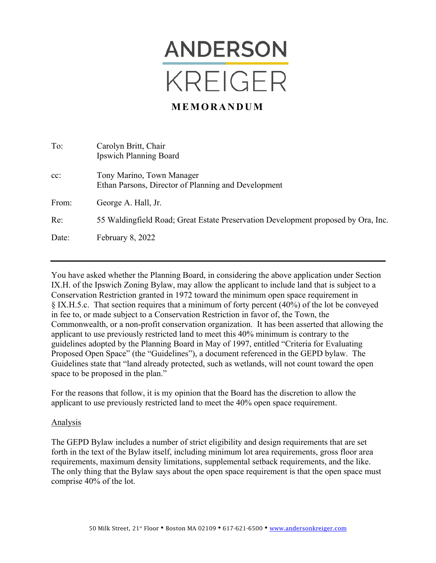

## **MEMORANDUM**

| To:    | Carolyn Britt, Chair<br><b>Ipswich Planning Board</b>                             |
|--------|-----------------------------------------------------------------------------------|
| $cc$ : | Tony Marino, Town Manager<br>Ethan Parsons, Director of Planning and Development  |
| From:  | George A. Hall, Jr.                                                               |
| Re:    | 55 Waldingfield Road; Great Estate Preservation Development proposed by Ora, Inc. |
| Date:  | February 8, 2022                                                                  |

You have asked whether the Planning Board, in considering the above application under Section IX.H. of the Ipswich Zoning Bylaw, may allow the applicant to include land that is subject to a Conservation Restriction granted in 1972 toward the minimum open space requirement in § IX.H.5.c. That section requires that a minimum of forty percent (40%) of the lot be conveyed in fee to, or made subject to a Conservation Restriction in favor of, the Town, the Commonwealth, or a non-profit conservation organization. It has been asserted that allowing the applicant to use previously restricted land to meet this 40% minimum is contrary to the guidelines adopted by the Planning Board in May of 1997, entitled "Criteria for Evaluating Proposed Open Space" (the "Guidelines"), a document referenced in the GEPD bylaw. The Guidelines state that "land already protected, such as wetlands, will not count toward the open space to be proposed in the plan."

For the reasons that follow, it is my opinion that the Board has the discretion to allow the applicant to use previously restricted land to meet the 40% open space requirement.

## Analysis

The GEPD Bylaw includes a number of strict eligibility and design requirements that are set forth in the text of the Bylaw itself, including minimum lot area requirements, gross floor area requirements, maximum density limitations, supplemental setback requirements, and the like. The only thing that the Bylaw says about the open space requirement is that the open space must comprise 40% of the lot.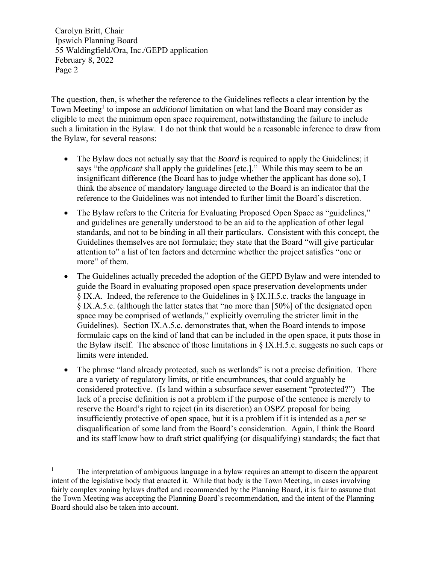Carolyn Britt, Chair Ipswich Planning Board 55 Waldingfield/Ora, Inc./GEPD application February 8, 2022 Page 2

The question, then, is whether the reference to the Guidelines reflects a clear intention by the Town Meeting<sup>1</sup> to impose an *additional* limitation on what land the Board may consider as eligible to meet the minimum open space requirement, notwithstanding the failure to include such a limitation in the Bylaw. I do not think that would be a reasonable inference to draw from the Bylaw, for several reasons:

- The Bylaw does not actually say that the *Board* is required to apply the Guidelines; it says "the *applicant* shall apply the guidelines [etc.]." While this may seem to be an insignificant difference (the Board has to judge whether the applicant has done so), I think the absence of mandatory language directed to the Board is an indicator that the reference to the Guidelines was not intended to further limit the Board's discretion.
- The Bylaw refers to the Criteria for Evaluating Proposed Open Space as "guidelines," and guidelines are generally understood to be an aid to the application of other legal standards, and not to be binding in all their particulars. Consistent with this concept, the Guidelines themselves are not formulaic; they state that the Board "will give particular attention to" a list of ten factors and determine whether the project satisfies "one or more" of them.
- The Guidelines actually preceded the adoption of the GEPD Bylaw and were intended to guide the Board in evaluating proposed open space preservation developments under § IX.A. Indeed, the reference to the Guidelines in § IX.H.5.c. tracks the language in § IX.A.5.c. (although the latter states that "no more than [50%] of the designated open space may be comprised of wetlands," explicitly overruling the stricter limit in the Guidelines). Section IX.A.5.c. demonstrates that, when the Board intends to impose formulaic caps on the kind of land that can be included in the open space, it puts those in the Bylaw itself. The absence of those limitations in § IX.H.5.c. suggests no such caps or limits were intended.
- The phrase "land already protected, such as wetlands" is not a precise definition. There are a variety of regulatory limits, or title encumbrances, that could arguably be considered protective. (Is land within a subsurface sewer easement "protected?") The lack of a precise definition is not a problem if the purpose of the sentence is merely to reserve the Board's right to reject (in its discretion) an OSPZ proposal for being insufficiently protective of open space, but it is a problem if it is intended as a *per se* disqualification of some land from the Board's consideration. Again, I think the Board and its staff know how to draft strict qualifying (or disqualifying) standards; the fact that

 $\overline{a}$ 1 The interpretation of ambiguous language in a bylaw requires an attempt to discern the apparent intent of the legislative body that enacted it. While that body is the Town Meeting, in cases involving fairly complex zoning bylaws drafted and recommended by the Planning Board, it is fair to assume that the Town Meeting was accepting the Planning Board's recommendation, and the intent of the Planning Board should also be taken into account.